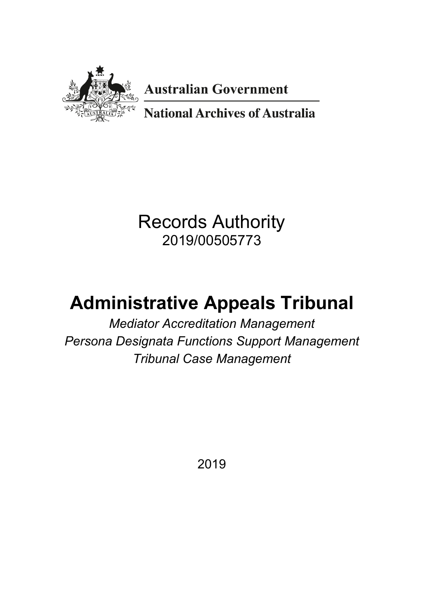

**Australian Government** 

**National Archives of Australia** 

## Records Authority 2019/00505773

# **Administrative Appeals Tribunal**

*Mediator Accreditation Management Persona Designata Functions Support Management Tribunal Case Management*

2019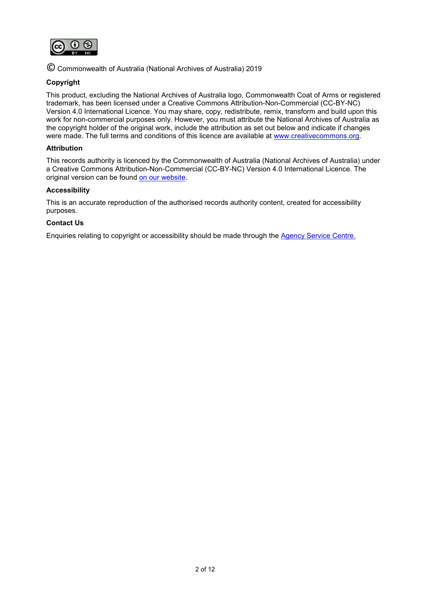

© Commonwealth of Australia (National Archives of Australia) 2019

#### **Copyright**

This product, excluding the National Archives of Australia logo, Commonwealth Coat of Arms or registered trademark, has been licensed under a Creative Commons Attribution-Non-Commercial (CC-BY-NC) Version 4.0 International Licence. You may share, copy, redistribute, remix, transform and build upon this work for non-commercial purposes only. However, you must attribute the National Archives of Australia as the copyright holder of the original work, include the attribution as set out below and indicate if changes were made. The full terms and conditions of this licence are available at [www.creativecommons.org.](http://www.creativecommons.org/)

#### **Attribution**

This records authority is licenced by the Commonwealth of Australia (National Archives of Australia) under a Creative Commons Attribution-Non-Commercial (CC-BY-NC) Version 4.0 International Licence. The original version can be found [on our website.](http://www.naa.gov.au/)

#### **Accessibility**

This is an accurate reproduction of the authorised records authority content, created for accessibility purposes.

#### **Contact Us**

Enquiries relating to copyright or accessibility should be made through the [Agency Service Centre.](http://reftracker.naa.gov.au/reft000.aspx?pmi=jpGkKEm4vT)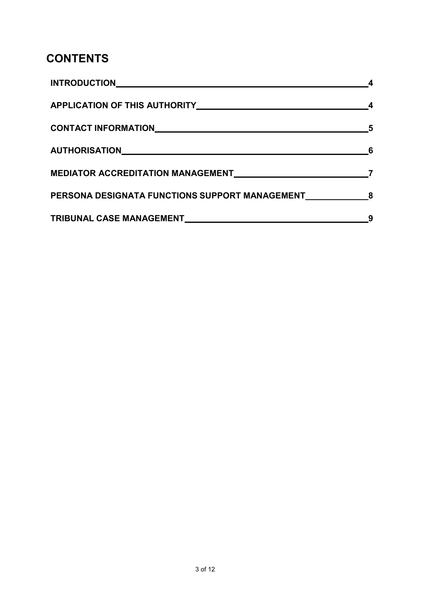### **CONTENTS**

| APPLICATION OF THIS AUTHORITY MANUSCRIPTION ARE AND THE RESERVE TO A REPORT OF THIS AUTHORITY |   |
|-----------------------------------------------------------------------------------------------|---|
| CONTACT INFORMATIONNALLY AND ACCOUNT ACCOUNT AND A CONTACT INFORMATION                        |   |
| AUTHORISATIONNNALLANDER AUTHORISATIONN                                                        | 6 |
|                                                                                               |   |
| PERSONA DESIGNATA FUNCTIONS SUPPORT MANAGEMENT 68                                             |   |
|                                                                                               |   |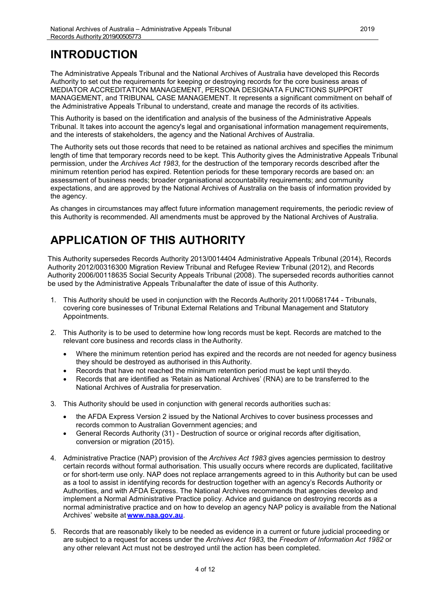### <span id="page-3-0"></span>**INTRODUCTION**

The Administrative Appeals Tribunal and the National Archives of Australia have developed this Records Authority to set out the requirements for keeping or destroying records for the core business areas of MEDIATOR ACCREDITATION MANAGEMENT, PERSONA DESIGNATA FUNCTIONS SUPPORT MANAGEMENT, and TRIBUNAL CASE MANAGEMENT. It represents a significant commitment on behalf of the Administrative Appeals Tribunal to understand, create and manage the records of its activities.

This Authority is based on the identification and analysis of the business of the Administrative Appeals Tribunal. It takes into account the agency's legal and organisational information management requirements, and the interests of stakeholders, the agency and the National Archives of Australia.

The Authority sets out those records that need to be retained as national archives and specifies the minimum length of time that temporary records need to be kept. This Authority gives the Administrative Appeals Tribunal permission, under the *Archives Act 1983*, for the destruction of the temporary records described after the minimum retention period has expired. Retention periods for these temporary records are based on: an assessment of business needs; broader organisational accountability requirements; and community expectations, and are approved by the National Archives of Australia on the basis of information provided by the agency.

As changes in circumstances may affect future information management requirements, the periodic review of this Authority is recommended. All amendments must be approved by the National Archives of Australia.

### <span id="page-3-1"></span>**APPLICATION OF THIS AUTHORITY**

This Authority supersedes Records Authority 2013/0014404 Administrative Appeals Tribunal (2014), Records Authority 2012/00316300 Migration Review Tribunal and Refugee Review Tribunal (2012), and Records Authority 2006/00118635 Social Security Appeals Tribunal (2008). The superseded records authorities cannot be used by the Administrative Appeals Tribunalafter the date of issue of this Authority.

- 1. This Authority should be used in conjunction with the Records Authority 2011/00681744 Tribunals, covering core businesses of Tribunal External Relations and Tribunal Management and Statutory Appointments.
- 2. This Authority is to be used to determine how long records must be kept. Records are matched to the relevant core business and records class in theAuthority.
	- Where the minimum retention period has expired and the records are not needed for agency business they should be destroyed as authorised in this Authority.
	- Records that have not reached the minimum retention period must be kept until theydo.
	- Records that are identified as 'Retain as National Archives' (RNA) are to be transferred to the National Archives of Australia for preservation.
- 3. This Authority should be used in conjunction with general records authorities suchas:
	- the AFDA Express Version 2 issued by the National Archives to cover business processes and records common to Australian Government agencies; and
	- General Records Authority (31) Destruction of source or original records after digitisation, conversion or migration (2015).
- 4. Administrative Practice (NAP) provision of the *Archives Act 1983* gives agencies permission to destroy certain records without formal authorisation. This usually occurs where records are duplicated, facilitative or for short-term use only. NAP does not replace arrangements agreed to in this Authority but can be used as a tool to assist in identifying records for destruction together with an agency's Records Authority or Authorities, and with AFDA Express. The National Archives recommends that agencies develop and implement a Normal Administrative Practice policy. Advice and guidance on destroying records as a normal administrative practice and on how to develop an agency NAP policy is available from the National Archives' website at **[www.naa.gov.au](http://www.naa.gov.au/)**.
- 5. Records that are reasonably likely to be needed as evidence in a current or future judicial proceeding or are subject to a request for access under the *Archives Act 1983,* the *Freedom of Information Act 1982* or any other relevant Act must not be destroyed until the action has been completed.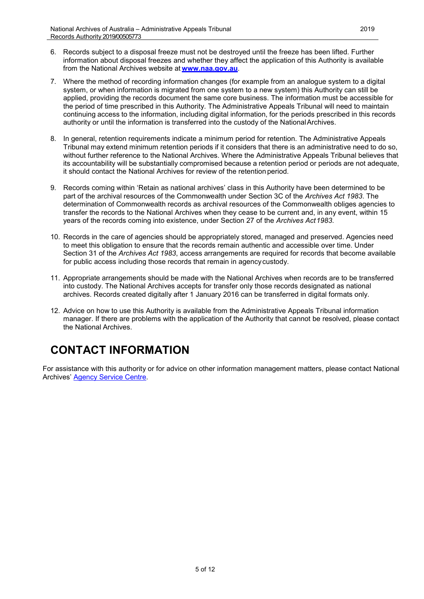- 6. Records subject to a disposal freeze must not be destroyed until the freeze has been lifted. Further information about disposal freezes and whether they affect the application of this Authority is available from the National Archives website at **[www.naa.gov.au](http://www.naa.gov.au/)**.
- 7. Where the method of recording information changes (for example from an analogue system to a digital system, or when information is migrated from one system to a new system) this Authority can still be applied, providing the records document the same core business. The information must be accessible for the period of time prescribed in this Authority. The Administrative Appeals Tribunal will need to maintain continuing access to the information, including digital information, for the periods prescribed in this records authority or until the information is transferred into the custody of the National Archives.
- 8. In general, retention requirements indicate a minimum period for retention. The Administrative Appeals Tribunal may extend minimum retention periods if it considers that there is an administrative need to do so, without further reference to the National Archives. Where the Administrative Appeals Tribunal believes that its accountability will be substantially compromised because a retention period or periods are not adequate, it should contact the National Archives for review of the retention period.
- 9. Records coming within 'Retain as national archives' class in this Authority have been determined to be part of the archival resources of the Commonwealth under Section 3C of the *Archives Act 1983*. The determination of Commonwealth records as archival resources of the Commonwealth obliges agencies to transfer the records to the National Archives when they cease to be current and, in any event, within 15 years of the records coming into existence, under Section 27 of the *Archives Act1983*.
- 10. Records in the care of agencies should be appropriately stored, managed and preserved. Agencies need to meet this obligation to ensure that the records remain authentic and accessible over time. Under Section 31 of the *Archives Act 1983*, access arrangements are required for records that become available for public access including those records that remain in agencycustody.
- 11. Appropriate arrangements should be made with the National Archives when records are to be transferred into custody. The National Archives accepts for transfer only those records designated as national archives. Records created digitally after 1 January 2016 can be transferred in digital formats only.
- 12. Advice on how to use this Authority is available from the Administrative Appeals Tribunal information manager. If there are problems with the application of the Authority that cannot be resolved, please contact the National Archives.

### <span id="page-4-0"></span>**CONTACT INFORMATION**

For assistance with this authority or for advice on other information management matters, please contact National Archives' [Agency Service Centre.](http://www.naa.gov.au/information-management/support/agency-service-centre/index.aspx)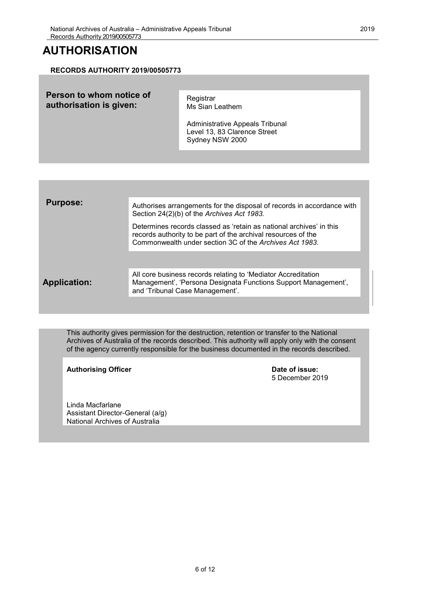### <span id="page-5-0"></span>**AUTHORISATION**

#### **RECORDS AUTHORITY 2019/00505773**

| Person to whom notice of<br>authorisation is given: | Registrar<br>Ms Sian Leathem<br>Administrative Appeals Tribunal<br>Level 13, 83 Clarence Street<br>Sydney NSW 2000 |
|-----------------------------------------------------|--------------------------------------------------------------------------------------------------------------------|
|                                                     |                                                                                                                    |

| <b>Purpose:</b>     | Authorises arrangements for the disposal of records in accordance with<br>Section 24(2)(b) of the Archives Act 1983.                                                                            |
|---------------------|-------------------------------------------------------------------------------------------------------------------------------------------------------------------------------------------------|
|                     | Determines records classed as 'retain as national archives' in this<br>records authority to be part of the archival resources of the<br>Commonwealth under section 3C of the Archives Act 1983. |
|                     |                                                                                                                                                                                                 |
| <b>Application:</b> | All core business records relating to 'Mediator Accreditation<br>Management', 'Persona Designata Functions Support Management',<br>and 'Tribunal Case Management'.                              |
|                     |                                                                                                                                                                                                 |

This authority gives permission for the destruction, retention or transfer to the National Archives of Australia of the records described. This authority will apply only with the consent of the agency currently responsible for the business documented in the records described.

Authorising Officer **Contract Contract Contract Contract Contract Contract Contract Contract Contract Contract Contract Contract Contract Contract Contract Contract Contract Contract Contract Contract Contract Contract Con** 

5 December 2019

Linda Macfarlane Assistant Director-General (a/g) National Archives of Australia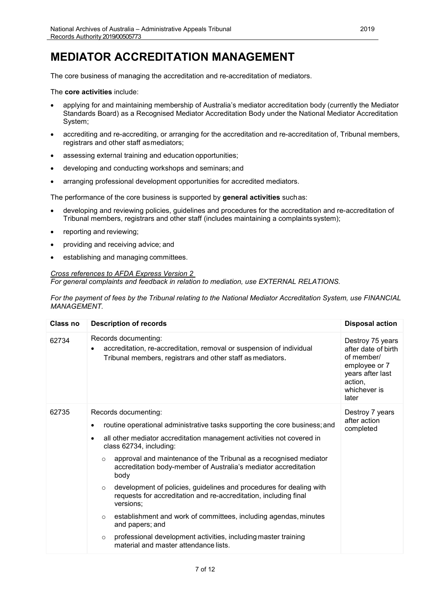### <span id="page-6-0"></span>**MEDIATOR ACCREDITATION MANAGEMENT**

The core business of managing the accreditation and re-accreditation of mediators.

The **core activities** include:

- applying for and maintaining membership of Australia's mediator accreditation body (currently the Mediator Standards Board) as a Recognised Mediator Accreditation Body under the National Mediator Accreditation System;
- accrediting and re-accrediting, or arranging for the accreditation and re-accreditation of, Tribunal members, registrars and other staff asmediators;
- assessing external training and education opportunities;
- developing and conducting workshops and seminars; and
- arranging professional development opportunities for accredited mediators.

The performance of the core business is supported by **general activities** suchas:

- developing and reviewing policies, guidelines and procedures for the accreditation and re-accreditation of Tribunal members, registrars and other staff (includes maintaining a complaints system);
- reporting and reviewing;
- providing and receiving advice; and
- establishing and managing committees.

#### *Cross references to AFDA Express Version 2*

*For general complaints and feedback in relation to mediation, use EXTERNAL RELATIONS.*

*For the payment of fees by the Tribunal relating to the National Mediator Accreditation System, use FINANCIAL MANAGEMENT.*

| Class no | <b>Description of records</b>                                                                                                                                                                                                                                                                                                                                                               | <b>Disposal action</b>                                                                                                         |
|----------|---------------------------------------------------------------------------------------------------------------------------------------------------------------------------------------------------------------------------------------------------------------------------------------------------------------------------------------------------------------------------------------------|--------------------------------------------------------------------------------------------------------------------------------|
| 62734    | Records documenting:<br>accreditation, re-accreditation, removal or suspension of individual<br>Tribunal members, registrars and other staff as mediators.                                                                                                                                                                                                                                  | Destroy 75 years<br>after date of birth<br>of member/<br>employee or 7<br>years after last<br>action,<br>whichever is<br>later |
| 62735    | Records documenting:<br>routine operational administrative tasks supporting the core business; and<br>$\bullet$<br>all other mediator accreditation management activities not covered in<br>$\bullet$<br>class 62734, including:<br>approval and maintenance of the Tribunal as a recognised mediator<br>$\circ$<br>accreditation body-member of Australia's mediator accreditation<br>body | Destroy 7 years<br>after action<br>completed                                                                                   |
|          | development of policies, guidelines and procedures for dealing with<br>$\circ$<br>requests for accreditation and re-accreditation, including final<br>versions;                                                                                                                                                                                                                             |                                                                                                                                |
|          | establishment and work of committees, including agendas, minutes<br>$\circ$<br>and papers; and                                                                                                                                                                                                                                                                                              |                                                                                                                                |
|          | professional development activities, including master training<br>$\circ$<br>material and master attendance lists.                                                                                                                                                                                                                                                                          |                                                                                                                                |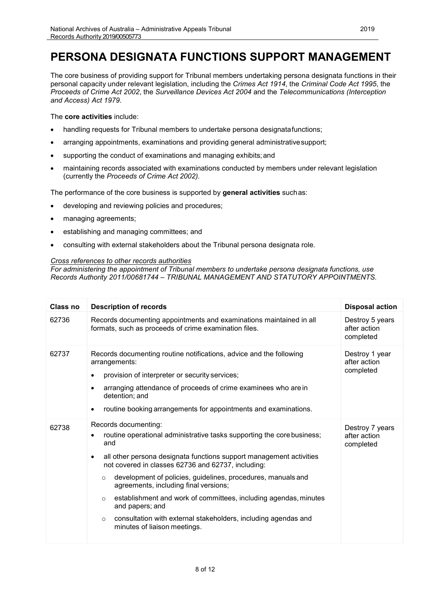### <span id="page-7-0"></span>**PERSONA DESIGNATA FUNCTIONS SUPPORT MANAGEMENT**

The core business of providing support for Tribunal members undertaking persona designata functions in their personal capacity under relevant legislation, including the *Crimes Act 1914*, the *Criminal Code Act 1995*, the *Proceeds of Crime Act 2002*, the *Surveillance Devices Act 2004* and the *Telecommunications (Interception and Access) Act 1979*.

The **core activities** include:

- handling requests for Tribunal members to undertake persona designatafunctions;
- arranging appointments, examinations and providing general administrativesupport;
- supporting the conduct of examinations and managing exhibits; and
- maintaining records associated with examinations conducted by members under relevant legislation (currently the *Proceeds of Crime Act 2002).*

The performance of the core business is supported by **general activities** suchas:

- developing and reviewing policies and procedures;
- managing agreements;
- establishing and managing committees; and
- consulting with external stakeholders about the Tribunal persona designata role.

#### *Cross references to other records authorities*

*For administering the appointment of Tribunal members to undertake persona designata functions, use Records Authority 2011/00681744 – TRIBUNAL MANAGEMENT AND STATUTORY APPOINTMENTS.*

| Class no | <b>Description of records</b>                                                                                                                                                                                                                                                                                                                                                                                                                                                                                                                                              | <b>Disposal action</b>                       |
|----------|----------------------------------------------------------------------------------------------------------------------------------------------------------------------------------------------------------------------------------------------------------------------------------------------------------------------------------------------------------------------------------------------------------------------------------------------------------------------------------------------------------------------------------------------------------------------------|----------------------------------------------|
| 62736    | Records documenting appointments and examinations maintained in all<br>formats, such as proceeds of crime examination files.                                                                                                                                                                                                                                                                                                                                                                                                                                               | Destroy 5 years<br>after action<br>completed |
| 62737    | Records documenting routine notifications, advice and the following<br>arrangements:<br>provision of interpreter or security services;<br>$\bullet$<br>arranging attendance of proceeds of crime examinees who are in<br>$\bullet$<br>detention; and<br>routine booking arrangements for appointments and examinations.<br>$\bullet$                                                                                                                                                                                                                                       | Destroy 1 year<br>after action<br>completed  |
| 62738    | Records documenting:<br>routine operational administrative tasks supporting the core business;<br>and<br>all other persona designata functions support management activities<br>٠<br>not covered in classes 62736 and 62737, including:<br>development of policies, guidelines, procedures, manuals and<br>$\circ$<br>agreements, including final versions;<br>establishment and work of committees, including agendas, minutes<br>$\circ$<br>and papers; and<br>consultation with external stakeholders, including agendas and<br>$\circ$<br>minutes of liaison meetings. | Destroy 7 years<br>after action<br>completed |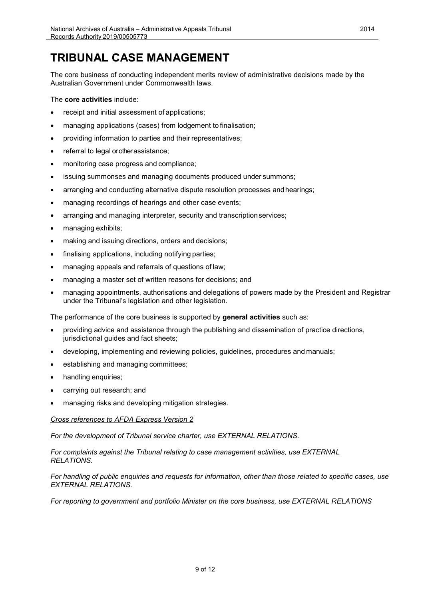### **TRIBUNAL CASE MANAGEMENT**

<span id="page-8-0"></span>The core business of conducting independent merits review of administrative decisions made by the Australian Government under Commonwealth laws.

The **core activities** include:

- receipt and initial assessment of applications;
- managing applications (cases) from lodgement to finalisation;
- providing information to parties and their representatives;
- referral to legal or other assistance;
- monitoring case progress and compliance;
- issuing summonses and managing documents produced under summons;
- arranging and conducting alternative dispute resolution processes andhearings;
- managing recordings of hearings and other case events;
- arranging and managing interpreter, security and transcriptionservices;
- managing exhibits;
- making and issuing directions, orders and decisions;
- finalising applications, including notifying parties;
- managing appeals and referrals of questions of law;
- managing a master set of written reasons for decisions; and
- managing appointments, authorisations and delegations of powers made by the President and Registrar under the Tribunal's legislation and other legislation.

The performance of the core business is supported by **general activities** such as:

- providing advice and assistance through the publishing and dissemination of practice directions, jurisdictional guides and fact sheets;
- developing, implementing and reviewing policies, guidelines, procedures and manuals;
- establishing and managing committees;
- handling enquiries;
- carrying out research; and
- managing risks and developing mitigation strategies.

#### *Cross references to AFDA Express Version 2*

*For the development of Tribunal service charter, use EXTERNAL RELATIONS.*

*For complaints against the Tribunal relating to case management activities, use EXTERNAL RELATIONS.*

*For handling of public enquiries and requests for information, other than those related to specific cases, use EXTERNAL RELATIONS.*

*For reporting to government and portfolio Minister on the core business, use EXTERNAL RELATIONS*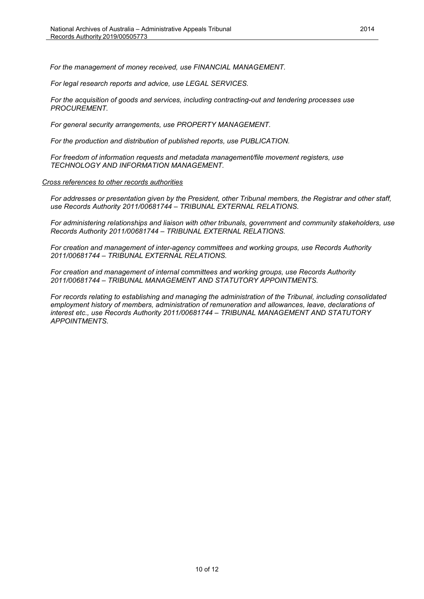*For the management of money received, use FINANCIAL MANAGEMENT.*

*For legal research reports and advice, use LEGAL SERVICES.*

*For the acquisition of goods and services, including contracting-out and tendering processes use PROCUREMENT.*

*For general security arrangements, use PROPERTY MANAGEMENT.* 

*For the production and distribution of published reports, use PUBLICATION.*

*For freedom of information requests and metadata management/file movement registers, use TECHNOLOGY AND INFORMATION MANAGEMENT.*

*Cross references to other records authorities*

*For addresses or presentation given by the President, other Tribunal members, the Registrar and other staff, use Records Authority 2011/00681744 – TRIBUNAL EXTERNAL RELATIONS.*

*For administering relationships and liaison with other tribunals, government and community stakeholders, use Records Authority 2011/00681744 – TRIBUNAL EXTERNAL RELATIONS.*

*For creation and management of inter-agency committees and working groups, use Records Authority 2011/00681744 – TRIBUNAL EXTERNAL RELATIONS.*

*For creation and management of internal committees and working groups, use Records Authority 2011/00681744 – TRIBUNAL MANAGEMENT AND STATUTORY APPOINTMENTS.*

*For records relating to establishing and managing the administration of the Tribunal, including consolidated employment history of members, administration of remuneration and allowances, leave, declarations of interest etc., use Records Authority 2011/00681744 – TRIBUNAL MANAGEMENT AND STATUTORY APPOINTMENTS.*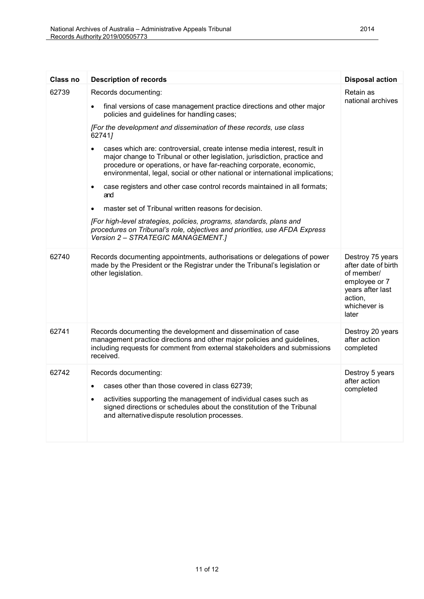| <b>Class no</b> | <b>Description of records</b>                                                                                                                                                                                                                                                                                             | <b>Disposal action</b>                                                                                                         |
|-----------------|---------------------------------------------------------------------------------------------------------------------------------------------------------------------------------------------------------------------------------------------------------------------------------------------------------------------------|--------------------------------------------------------------------------------------------------------------------------------|
| 62739           | Records documenting:<br>final versions of case management practice directions and other major                                                                                                                                                                                                                             | Retain as<br>national archives                                                                                                 |
|                 | policies and guidelines for handling cases;                                                                                                                                                                                                                                                                               |                                                                                                                                |
|                 | [For the development and dissemination of these records, use class<br>627417                                                                                                                                                                                                                                              |                                                                                                                                |
|                 | cases which are: controversial, create intense media interest, result in<br>$\bullet$<br>major change to Tribunal or other legislation, jurisdiction, practice and<br>procedure or operations, or have far-reaching corporate, economic,<br>environmental, legal, social or other national or international implications; |                                                                                                                                |
|                 | case registers and other case control records maintained in all formats;<br>$\bullet$<br>and                                                                                                                                                                                                                              |                                                                                                                                |
|                 | master set of Tribunal written reasons for decision.                                                                                                                                                                                                                                                                      |                                                                                                                                |
|                 | [For high-level strategies, policies, programs, standards, plans and<br>procedures on Tribunal's role, objectives and priorities, use AFDA Express<br>Version 2 - STRATEGIC MANAGEMENT.]                                                                                                                                  |                                                                                                                                |
| 62740           | Records documenting appointments, authorisations or delegations of power<br>made by the President or the Registrar under the Tribunal's legislation or<br>other legislation.                                                                                                                                              | Destroy 75 years<br>after date of birth<br>of member/<br>employee or 7<br>years after last<br>action,<br>whichever is<br>later |
| 62741           | Records documenting the development and dissemination of case<br>management practice directions and other major policies and guidelines,<br>including requests for comment from external stakeholders and submissions<br>received.                                                                                        | Destroy 20 years<br>after action<br>completed                                                                                  |
| 62742           | Records documenting:<br>cases other than those covered in class 62739;<br>$\bullet$<br>activities supporting the management of individual cases such as<br>$\bullet$<br>signed directions or schedules about the constitution of the Tribunal<br>and alternative dispute resolution processes.                            | Destroy 5 years<br>after action<br>completed                                                                                   |